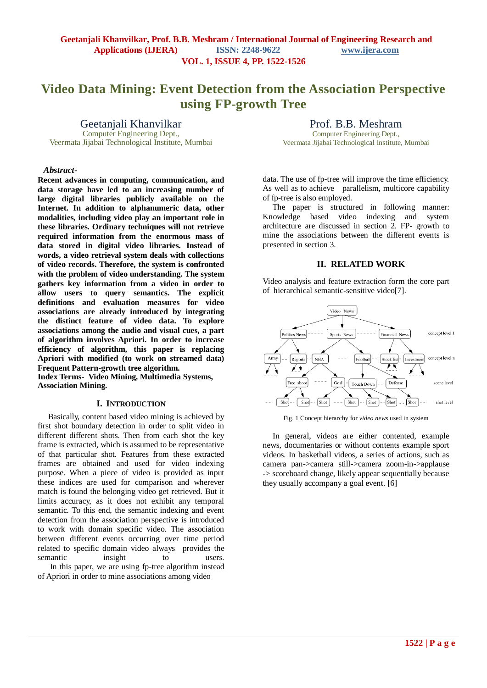# **Video Data Mining: Event Detection from the Association Perspective using FP-growth Tree**

Geetanjali Khanvilkar Computer Engineering Dept., Veermata Jijabai Technological Institute, Mumbai Prof. B.B. Meshram Computer Engineering Dept.,

Veermata Jijabai Technological Institute, Mumbai

# *Abstract***-**

**Recent advances in computing, communication, and data storage have led to an increasing number of large digital libraries publicly available on the Internet. In addition to alphanumeric data, other modalities, including video play an important role in these libraries. Ordinary techniques will not retrieve required information from the enormous mass of data stored in digital video libraries. Instead of words, a video retrieval system deals with collections of video records. Therefore, the system is confronted with the problem of video understanding. The system gathers key information from a video in order to allow users to query semantics. The explicit definitions and evaluation measures for video associations are already introduced by integrating the distinct feature of video data. To explore associations among the audio and visual cues, a part of algorithm involves Apriori. In order to increase efficiency of algorithm, this paper is replacing Apriori with modified (to work on streamed data) Frequent Pattern-growth tree algorithm.**

**Index Terms- Video Mining, Multimedia Systems, Association Mining.**

#### **I. INTRODUCTION**

 Basically, content based video mining is achieved by first shot boundary detection in order to split video in different different shots. Then from each shot the key frame is extracted, which is assumed to be representative of that particular shot. Features from these extracted frames are obtained and used for video indexing purpose. When a piece of video is provided as input these indices are used for comparison and wherever match is found the belonging video get retrieved. But it limits accuracy, as it does not exhibit any temporal semantic. To this end, the semantic indexing and event detection from the association perspective is introduced to work with domain specific video. The association between different events occurring over time period related to specific domain video always provides the semantic insight to users. In this paper, we are using fp-tree algorithm instead

of Apriori in order to mine associations among video

data. The use of fp-tree will improve the time efficiency. As well as to achieve parallelism, multicore capability of fp-tree is also employed.

The paper is structured in following manner: Knowledge based video indexing and system architecture are discussed in section 2. FP- growth to mine the associations between the different events is presented in section 3.

### **II. RELATED WORK**

Video analysis and feature extraction form the core part of hierarchical semantic-sensitive video[7].



Fig. 1 Concept hierarchy for *video news* used in system

In general, videos are either contented, example news, documentaries or without contents example sport videos. In basketball videos, a series of actions, such as camera pan->camera still->camera zoom-in->applause -> scoreboard change, likely appear sequentially because they usually accompany a goal event. [6]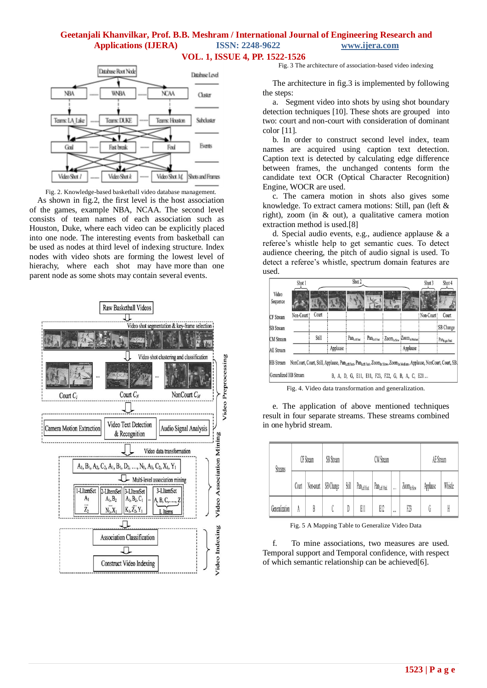# **Geetanjali Khanvilkar, Prof. B.B. Meshram / International Journal of Engineering Research and Applications (IJERA) ISSN: 2248-9622 www.ijera.com VOL. 1, ISSUE 4, PP. 1522-1526**



Fig. 2. Knowledge-based basketball video database management.

 As shown in fig.2, the first level is the host association of the games, example NBA, NCAA. The second level consists of team names of each association such as Houston, Duke, where each video can be explicitly placed into one node. The interesting events from basketball can be used as nodes at third level of indexing structure. Index nodes with video shots are forming the lowest level of hierachy, where each shot may have more than one parent node as some shots may contain several events.



The architecture in fig.3 is implemented by following the steps:

Fig. 3 The architecture of association-based video indexing

a. Segment video into shots by using shot boundary detection techniques [10]. These shots are grouped into two: court and non-court with consideration of dominant color [11].

b. In order to construct second level index, team names are acquired using caption text detection. Caption text is detected by calculating edge difference between frames, the unchanged contents form the candidate text OCR (Optical Character Recognition) Engine, WOCR are used.

c. The camera motion in shots also gives some knowledge. To extract camera motions: Still, pan (left & right), zoom (in & out), a qualitative camera motion extraction method is used.[8]

d. Special audio events, e.g., audience applause & a referee"s whistle help to get semantic cues. To detect audience cheering, the pitch of audio signal is used. To detect a referee's whistle, spectrum domain features are used.



Fig. 4. Video data transformation and generalization.

e. The application of above mentioned techniques result in four separate streams. These streams combined in one hybrid stream.

|  | Streams        | CF Stream |           | <b>SB</b> Stream | CM Stream |                          |                          |                      | AE Stream               |          |         |
|--|----------------|-----------|-----------|------------------|-----------|--------------------------|--------------------------|----------------------|-------------------------|----------|---------|
|  |                | Court     | Non-court | SB Change        | Still     | Pan <sub>Left Fast</sub> | Pan <sub>Left Med.</sub> | $\ddot{\phantom{a}}$ | Zoom <sub>In Skow</sub> | Applause | Whistle |
|  | Generalization | A         |           |                  | D         | E11                      | E12                      |                      | F23                     |          |         |

Fig. 5 A Mapping Table to Generalize Video Data

f. To mine associations, two measures are used. Temporal support and Temporal confidence, with respect of which semantic relationship can be achieved[6].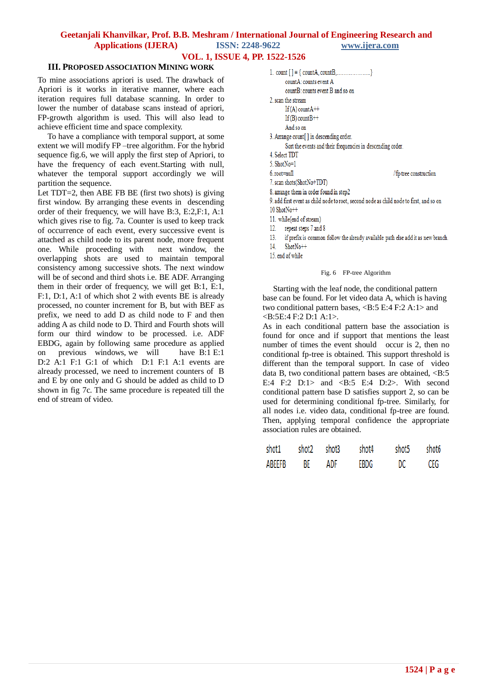# **Geetanjali Khanvilkar, Prof. B.B. Meshram / International Journal of Engineering Research and Applications (IJERA) ISSN: 2248-9622 www.ijera.com**

**VOL. 1, ISSUE 4, PP. 1522-1526**

# **III. PROPOSED ASSOCIATION MINING WORK**

To mine associations apriori is used. The drawback of Apriori is it works in iterative manner, where each iteration requires full database scanning. In order to lower the number of database scans instead of apriori, FP-growth algorithm is used. This will also lead to achieve efficient time and space complexity.

To have a compliance with temporal support, at some extent we will modify FP –tree algorithm. For the hybrid sequence fig.6, we will apply the first step of Apriori, to have the frequency of each event.Starting with null, whatever the temporal support accordingly we will partition the sequence.

Let  $TDT=2$ , then ABE FB BE (first two shots) is giving first window. By arranging these events in descending order of their frequency, we will have B:3, E:2,F:1, A:1 which gives rise to fig. 7a. Counter is used to keep track of occurrence of each event, every successive event is attached as child node to its parent node, more frequent one. While proceeding with next window, the overlapping shots are used to maintain temporal consistency among successive shots. The next window will be of second and third shots i.e. BE ADF. Arranging them in their order of frequency, we will get B:1, E:1, F:1, D:1, A:1 of which shot 2 with events BE is already processed, no counter increment for B, but with BEF as prefix, we need to add D as child node to F and then adding A as child node to D. Third and Fourth shots will form our third window to be processed. i.e. ADF EBDG, again by following same procedure as applied on previous windows, we will have B:1 E:1 D:2 A:1 F:1 G:1 of which D:1 F:1 A:1 events are already processed, we need to increment counters of B and E by one only and G should be added as child to D shown in fig 7c. The same procedure is repeated till the end of stream of video.

| 1. count $[] = \{ countA, countB, \ldots, \ldots, \ldots, \ldots \}$                    |
|-----------------------------------------------------------------------------------------|
| countA: counts event A                                                                  |
| countB: counts event B and so on                                                        |
| 2. scan the stream                                                                      |
| If $(A)$ count $A++$                                                                    |
| If $(B)$ count $B++$                                                                    |
| And so on                                                                               |
| 3. Arrange count $\lceil \cdot \rceil$ in descending order.                             |
| Sort the events and their frequencies in descending order.                              |
| 4. Select TDT                                                                           |
| 5. ShotNo=1                                                                             |
| $6$ root= $null$<br>//fp tree construction                                              |
| 7. scan shots(ShotNo+TDT)                                                               |
| 8. arrange them in order found in step2                                                 |
| 9. add first event as child node to root, second node as child node to first, and so on |
| $10 \text{ ShotNo++}$                                                                   |
| 11. while (end of stream)                                                               |
| 12. repeat steps 7 and 8                                                                |
| 13.<br>if prefix is common follow the already available path else add it as new branch  |
| $ShortNo++$<br>14.                                                                      |

15, end of while

#### Fig. 6 FP-tree Algorithm

 Starting with the leaf node, the conditional pattern base can be found. For let video data A, which is having two conditional pattern bases, <B:5 E:4 F:2 A:1> and <B:5E:4 F:2 D:1 A:1>.

As in each conditional pattern base the association is found for once and if support that mentions the least number of times the event should occur is 2, then no conditional fp-tree is obtained. This support threshold is different than the temporal support. In case of video data B, two conditional pattern bases are obtained,  $\langle B.5 \rangle$ E:4 F:2 D:1> and <B:5 E:4 D:2>. With second conditional pattern base D satisfies support 2, so can be used for determining conditional fp-tree. Similarly, for all nodes i.e. video data, conditional fp-tree are found. Then, applying temporal confidence the appropriate association rules are obtained.

| shot1  | shot2 | shot3 | shot4 | shot5 | shot <sub>6</sub> |
|--------|-------|-------|-------|-------|-------------------|
| ABEEFB | ВE    | ADF   | EBDG  |       | CEG               |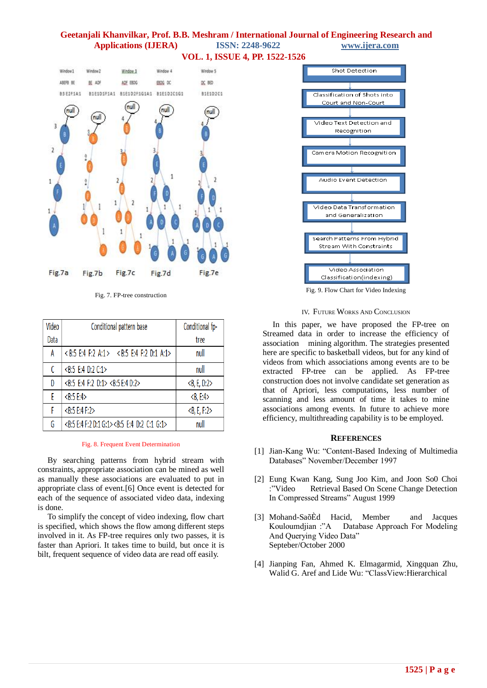# **Geetanjali Khanvilkar, Prof. B.B. Meshram / International Journal of Engineering Research and Applications (IJERA) ISSN: 2248-9622 www.ijera.com VOL. 1, ISSUE 4, PP. 1522-1526**



Fig. 7. FP-tree construction

| Video | Conditional pattern base                                                       | Conditional fp-             |  |
|-------|--------------------------------------------------------------------------------|-----------------------------|--|
| Data  |                                                                                | tree                        |  |
| A     | < B:5 E:4 F:2 A:1> < B:5 E:4 F:2 D:1 A:1>                                      | null                        |  |
| C     | <b:5 c:1="" d:2="" e:4=""></b:5>                                               | null                        |  |
| D     | <b:5 d:1="" e:4="" f:2=""> <b:5 d:2="" e:4=""></b:5></b:5>                     | $\langle B, E, D:2 \rangle$ |  |
| E     | $-B:5 E:4>$                                                                    | $\langle B, E:4 \rangle$    |  |
| F     | <b:5 e:4="" f:2=""></b:5>                                                      | $<$ B, E, F:2>              |  |
| G     | <b:5 d:1="" e:4="" f:2="" g:1=""><b:5 c:1="" d:2="" e:4="" g:1=""></b:5></b:5> | null                        |  |

#### Fig. 8. Frequent Event Determination

By searching patterns from hybrid stream with constraints, appropriate association can be mined as well as manually these associations are evaluated to put in appropriate class of event.[6] Once event is detected for each of the sequence of associated video data, indexing is done.

To simplify the concept of video indexing, flow chart is specified, which shows the flow among different steps involved in it. As FP-tree requires only two passes, it is faster than Apriori. It takes time to build, but once it is bilt, frequent sequence of video data are read off easily.



Fig. 9. Flow Chart for Video Indexing

#### IV. FUTURE WORKS AND CONCLUSION

 In this paper, we have proposed the FP-tree on Streamed data in order to increase the efficiency of association mining algorithm. The strategies presented here are specific to basketball videos, but for any kind of videos from which associations among events are to be extracted FP-tree can be applied. As FP-tree construction does not involve candidate set generation as that of Apriori, less computations, less number of scanning and less amount of time it takes to mine associations among events. In future to achieve more efficiency, multithreading capability is to be employed.

#### **REFERENCES**

- [1] Jian-Kang Wu: "Content-Based Indexing of Multimedia Databases" November/December 1997
- [2] Eung Kwan Kang, Sung Joo Kim, and Joon So0 Choi :"Video Retrieval Based On Scene Change Detection In Compressed Streams" August 1999
- [3] Mohand-SaõÈd Hacid, Member and Jacques Kouloumdjian :"A Database Approach For Modeling And Querying Video Data" Septeber/October 2000
- [4] Jianping Fan, Ahmed K. Elmagarmid*,* Xingquan Zhu, Walid G. Aref and Lide Wu: "ClassView:Hierarchical